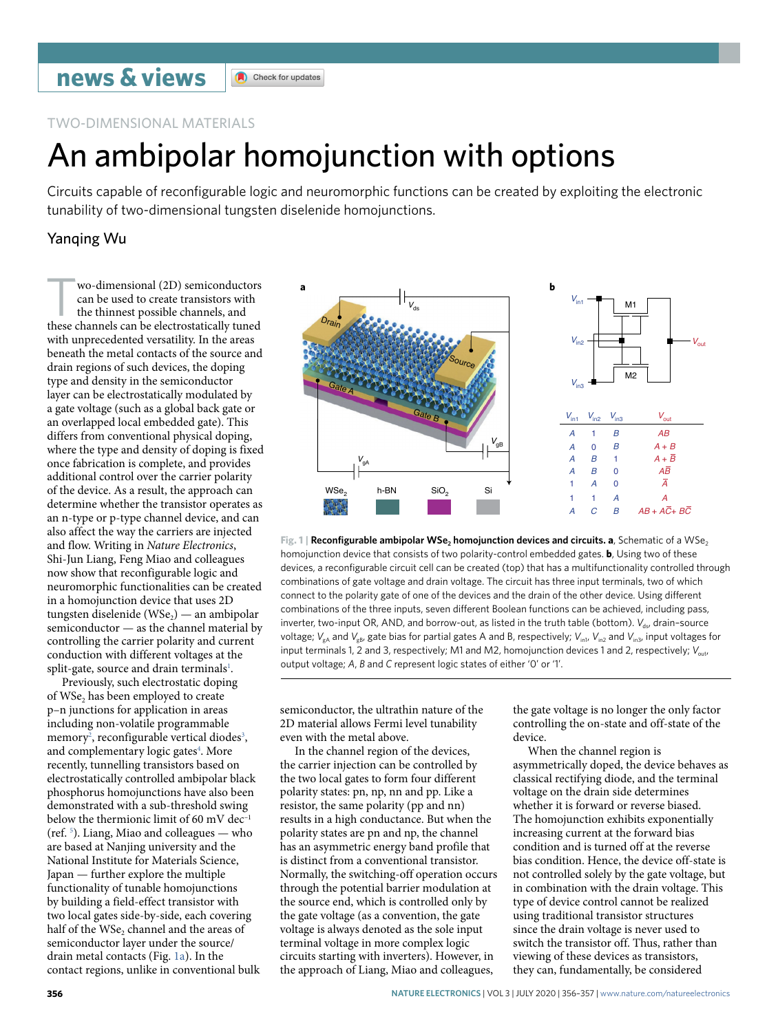## TWO-DIMENSIONAL MATERIALS

# An ambipolar homojunction with options

Circuits capable of reconfgurable logic and neuromorphic functions can be created by exploiting the electronic tunability of two-dimensional tungsten diselenide homojunctions.

## Yanqing Wu

wo-dimensional (2D) semiconductors can be used to create transistors with the thinnest possible channels, and these channels can be electrostatically tuned with unprecedented versatility. In the areas beneath the metal contacts of the source and drain regions of such devices, the doping type and density in the semiconductor layer can be electrostatically modulated by a gate voltage (such as a global back gate or an overlapped local embedded gate). This differs from conventional physical doping, where the type and density of doping is fixed once fabrication is complete, and provides additional control over the carrier polarity of the device. As a result, the approach can determine whether the transistor operates as an n-type or p-type channel device, and can also affect the way the carriers are injected and flow. Writing in *Nature Electronics*, Shi-Jun Liang, Feng Miao and colleagues now show that reconfigurable logic and neuromorphic functionalities can be created in a homojunction device that uses 2D tungsten diselenide (WSe<sub>2</sub>) — an ambipolar semiconductor — as the channel material by controlling the carrier polarity and current conduction with different voltages at the split-gate, source and drain terminals<sup>1</sup>.

Previously, such electrostatic doping of WSe<sub>2</sub> has been employed to create p–n junctions for application in areas including non-volatile programmable  $memory<sup>2</sup>$  $memory<sup>2</sup>$  $memory<sup>2</sup>$ , reconfigurable vertical diodes<sup>[3](#page-1-2)</sup>, and complementary logic gates<sup>4</sup>. More recently, tunnelling transistors based on electrostatically controlled ambipolar black phosphorus homojunctions have also been demonstrated with a sub-threshold swing below the thermionic limit of 60 mV dec-(ref. [5](#page-1-4) ). Liang, Miao and colleagues — who are based at Nanjing university and the National Institute for Materials Science, Japan — further explore the multiple functionality of tunable homojunctions by building a field-effect transistor with two local gates side-by-side, each covering half of the WSe<sub>2</sub> channel and the areas of semiconductor layer under the source/ drain metal contacts (Fig. [1a\)](#page-0-0). In the contact regions, unlike in conventional bulk





<span id="page-0-0"></span>**Fig. 1 | Reconfigurable ambipolar WSe, homojunction devices and circuits. <b>a**, Schematic of a WSe, homojunction device that consists of two polarity-control embedded gates. **b**, Using two of these devices, a reconfigurable circuit cell can be created (top) that has a multifunctionality controlled through combinations of gate voltage and drain voltage. The circuit has three input terminals, two of which connect to the polarity gate of one of the devices and the drain of the other device. Using different combinations of the three inputs, seven different Boolean functions can be achieved, including pass, inverter, two-input OR, AND, and borrow-out, as listed in the truth table (bottom). *V<sub>ds</sub>*, drain-source voltage;  $V_{ab}$  and  $V_{ab}$ , gate bias for partial gates A and B, respectively;  $V_{\text{ini}}$ ,  $V_{\text{ini}}$ ,  $V_{\text{ini}}$  and  $V_{\text{ini}}$ , input voltages for input terminals 1, 2 and 3, respectively; M1 and M2, homojunction devices 1 and 2, respectively; *V*<sub>out</sub>, output voltage; *A*, *B* and *C* represent logic states of either '0' or '1'.

semiconductor, the ultrathin nature of the 2D material allows Fermi level tunability even with the metal above.

In the channel region of the devices, the carrier injection can be controlled by the two local gates to form four different polarity states: pn, np, nn and pp. Like a resistor, the same polarity (pp and nn) results in a high conductance. But when the polarity states are pn and np, the channel has an asymmetric energy band profile that is distinct from a conventional transistor. Normally, the switching-off operation occurs through the potential barrier modulation at the source end, which is controlled only by the gate voltage (as a convention, the gate voltage is always denoted as the sole input terminal voltage in more complex logic circuits starting with inverters). However, in the approach of Liang, Miao and colleagues,

the gate voltage is no longer the only factor controlling the on-state and off-state of the device.

When the channel region is asymmetrically doped, the device behaves as classical rectifying diode, and the terminal voltage on the drain side determines whether it is forward or reverse biased. The homojunction exhibits exponentially increasing current at the forward bias condition and is turned off at the reverse bias condition. Hence, the device off-state is not controlled solely by the gate voltage, but in combination with the drain voltage. This type of device control cannot be realized using traditional transistor structures since the drain voltage is never used to switch the transistor off. Thus, rather than viewing of these devices as transistors, they can, fundamentally, be considered